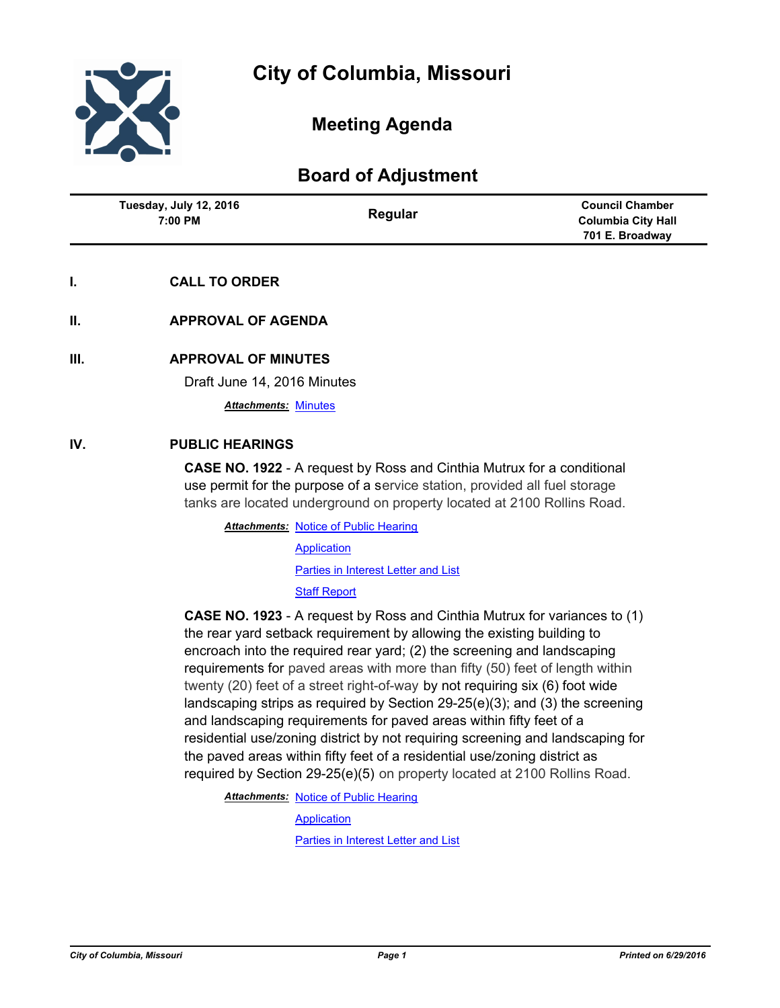

# **Meeting Agenda**

# **Board of Adjustment**

| Tuesday, July 12, 2016<br>7:00 PM | Regular | <b>Council Chamber</b>    |
|-----------------------------------|---------|---------------------------|
|                                   |         | <b>Columbia City Hall</b> |
|                                   |         | 701 E. Broadway           |

## **I. CALL TO ORDER**

**II. APPROVAL OF AGENDA**

### **III. APPROVAL OF MINUTES**

Draft June 14, 2016 Minutes

*Attachments:* [Minutes](http://gocolumbiamo.legistar.com/gateway.aspx?M=F&ID=2615d831-688a-4650-9c09-57348aa29e65.doc)

#### **IV. PUBLIC HEARINGS**

**CASE NO. 1922** - A request by Ross and Cinthia Mutrux for a conditional use permit for the purpose of a service station, provided all fuel storage tanks are located underground on property located at 2100 Rollins Road.

**Attachments: [Notice of Public Hearing](http://gocolumbiamo.legistar.com/gateway.aspx?M=F&ID=3c315bc9-b32c-467e-ab8f-0d7987b0e446.pdf) [Application](http://gocolumbiamo.legistar.com/gateway.aspx?M=F&ID=973151a9-b980-43da-8d5c-68d8d875b9c1.pdf)** [Parties in Interest Letter and List](http://gocolumbiamo.legistar.com/gateway.aspx?M=F&ID=1e22706c-d734-49c2-95c2-d41f440e7ff6.pdf) [Staff Report](http://gocolumbiamo.legistar.com/gateway.aspx?M=F&ID=a6bad0c9-29f6-498e-be26-d323cb5ff36b.pdf)

**CASE NO. 1923** - A request by Ross and Cinthia Mutrux for variances to (1) the rear yard setback requirement by allowing the existing building to encroach into the required rear yard; (2) the screening and landscaping requirements for paved areas with more than fifty (50) feet of length within twenty (20) feet of a street right-of-way by not requiring six (6) foot wide landscaping strips as required by Section 29-25(e)(3); and (3) the screening and landscaping requirements for paved areas within fifty feet of a residential use/zoning district by not requiring screening and landscaping for the paved areas within fifty feet of a residential use/zoning district as required by Section 29-25(e)(5) on property located at 2100 Rollins Road.

**Attachments: [Notice of Public Hearing](http://gocolumbiamo.legistar.com/gateway.aspx?M=F&ID=8f3609ec-e011-4de9-9e6f-888e0f43bcff.doc)** 

**[Application](http://gocolumbiamo.legistar.com/gateway.aspx?M=F&ID=715e429c-061b-4d74-bb7c-131684c4ad62.pdf)** 

[Parties in Interest Letter and List](http://gocolumbiamo.legistar.com/gateway.aspx?M=F&ID=b958c7f9-b485-4b59-8f69-3106b28fb226.pdf)